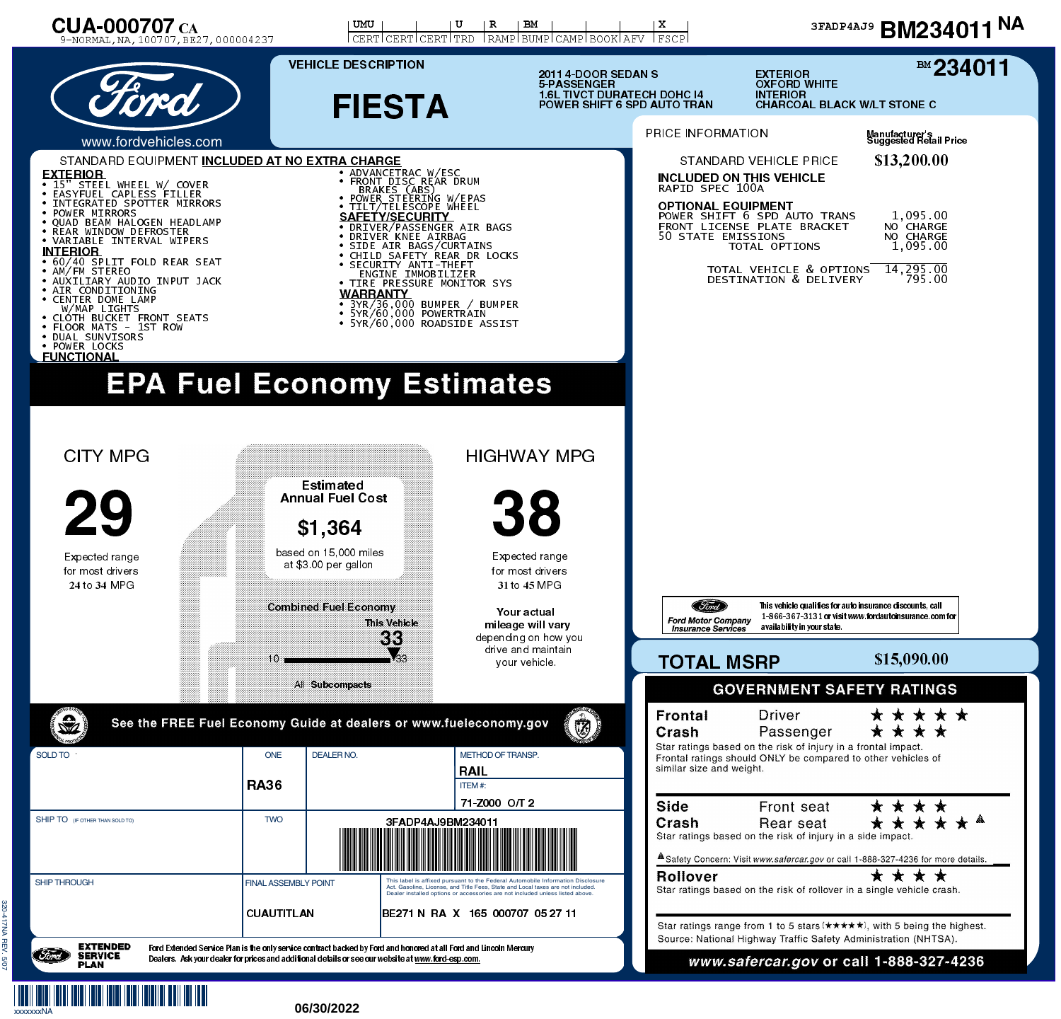

## 06/30/2022